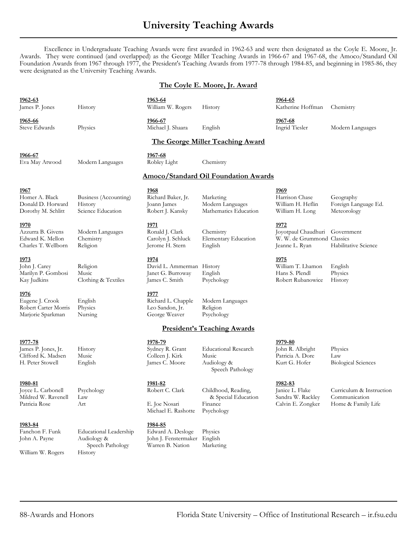### **University Teaching Awards**

Excellence in Undergraduate Teaching Awards were first awarded in 1962-63 and were then designated as the Coyle E. Moore, Jr. Awards. They were continued (and overlapped) as the George Miller Teaching Awards in 1966-67 and 1967-68, the Amoco/Standard Oil Foundation Awards from 1967 through 1977, the President's Teaching Awards from 1977-78 through 1984-85, and beginning in 1985-86, they were designated as the University Teaching Awards.

### **The Coyle E. Moore, Jr. Award**

| 1962-63<br>James P. Jones                                                   | History                                                                     | 1963-64<br>William W. Rogers                                                      | History                                                                 | <u>1964-65</u><br>Katherine Hoffman                                                    | Chemistry                                                       |
|-----------------------------------------------------------------------------|-----------------------------------------------------------------------------|-----------------------------------------------------------------------------------|-------------------------------------------------------------------------|----------------------------------------------------------------------------------------|-----------------------------------------------------------------|
| 1965-66<br>Steve Edwards                                                    | Physics                                                                     | <u>1966-67</u><br>Michael J. Shaara                                               | English                                                                 | 1967-68<br>Ingrid Tiesler                                                              | Modern Languages                                                |
| <b>The George Miller Teaching Award</b>                                     |                                                                             |                                                                                   |                                                                         |                                                                                        |                                                                 |
| 1966-67<br>Eva May Atwood                                                   | Modern Languages                                                            | 1967-68<br>Robley Light                                                           | Chemistry                                                               |                                                                                        |                                                                 |
| Amoco/Standard Oil Foundation Awards                                        |                                                                             |                                                                                   |                                                                         |                                                                                        |                                                                 |
| 1967<br>Homer A. Black<br>Donald D. Horward<br>Dorothy M. Schlitt           | Business (Accounting)<br>History<br>Science Education                       | 1968<br>Richard Baker, Jr.<br>Joann James<br>Robert J. Kansky                     | Marketing<br>Modern Languages<br>Mathematics Education                  | <u>1969</u><br>Harrison Chase<br>William H. Heflin<br>William H. Long                  | Geography<br>Foreign Language Ed.<br>Meteorology                |
| 1970<br>Azzurra B. Givens<br>Edward K. Mellon<br>Charles T. Wellborn        | Modern Languages<br>Chemistry<br>Religion                                   | 1971<br>Ronald J. Clark<br>Carolyn J. Schluck<br>Jerome H. Stern                  | Chemistry<br>Elementary Education<br>English                            | 1972<br>Joyotpaul Chaudhuri Government<br>W. W. de Grummond Classics<br>Jeanne L. Ryan | Habilitative Science                                            |
| 1973<br>John J. Carey<br>Marilyn P. Gombosi<br>Kay Judkins                  | Religion<br>Music<br>Clothing & Textiles                                    | <u> 1974 </u><br>David L. Ammerman History<br>Janet G. Burroway<br>James C. Smith | English<br>Psychology                                                   | <u>1975</u><br>William T. Lhamon<br>Hans S. Plendl<br>Robert Rubanowice                | English<br>Physics<br>History                                   |
| <u>1976</u><br>Eugene J. Crook<br>Robert Carter Morris<br>Marjorie Sparkman | English<br>Physics<br>Nursing                                               | 1977<br>Richard L. Chapple<br>Leo Sandon, Jr.<br>George Weaver                    | Modern Languages<br>Religion<br>Psychology                              |                                                                                        |                                                                 |
| <b>President's Teaching Awards</b>                                          |                                                                             |                                                                                   |                                                                         |                                                                                        |                                                                 |
| 1977-78<br>James P. Jones, Jr.<br>Clifford K. Madsen<br>H. Peter Stowell    | History<br>Music<br>English                                                 | 1978-79<br>Sydney R. Grant<br>Colleen J. Kirk<br>James C. Moore                   | <b>Educational Research</b><br>Music<br>Audiology &<br>Speech Pathology | 1979-80<br>John R. Albright<br>Patricia A. Dore<br>Kurt G. Hofer                       | Physics<br>Law<br><b>Biological Sciences</b>                    |
| 1980-81<br>Joyce L. Carbonell<br>Mildred W. Ravenell<br>Patricia Rose       | Psychology<br>Law<br>Art                                                    | 1981-82<br>Robert C. Clark<br>E. Joe Nosari<br>Michael E. Rashotte                | Childhood, Reading,<br>& Special Education<br>Finance<br>Psychology     | 1982-83<br>Janice L. Flake<br>Sandra W. Rackley<br>Calvin E. Zongker                   | Curriculum & Instruction<br>Communication<br>Home & Family Life |
| 1983-84<br>Fanchon F. Funk<br>John A. Payne<br>William W. Rogers            | <b>Educational Leadership</b><br>Audiology &<br>Speech Pathology<br>History | 1984-85<br>Edward A. Desloge<br>John J. Fenstermaker<br>Warren B. Nation          | Physics<br>English<br>Marketing                                         |                                                                                        |                                                                 |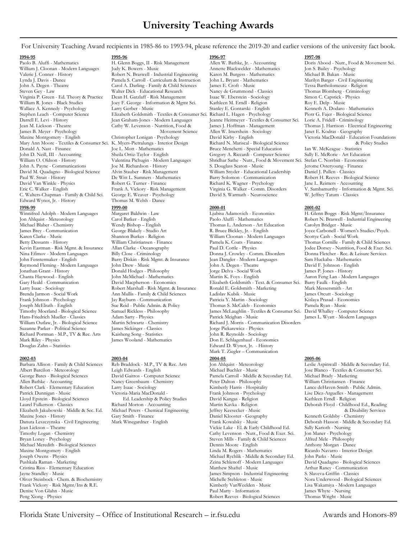For University Teaching Award recipients in 1985-86 to 1993-94, please reference the 2019-20 and earlier versions of the university fact book.

C. Walters-Chapman - Family & Child Sci. George E. Weaver - Psychology David S. Warmath - Neuroscience W. Jeffrey Tatum - Classics Edward Wynot, Jr. - History **1998-99 1999-00 2000-01 2001-02** Winnifred Adolph - Modern Languages Margaret Baldwin - Law Ljubisa Adamovich - Economics H. Glenn Boggs - Risk Mgmt/Insurance<br>1991 - John Ahlquist - Meteorology Carol Batker - English Paolo Aluffi - Mathematics Robert N. B

Michael Blaber - Chemistry Mendy Bishop – English Thomas L. Anderson - Art Education<br>James Brey - Communication George Blakely - Studio Art R. Bruce Bickley, Jr. - English Jonathan Grant - History Donald Hodges - Philosophy Jorge Delva - Social Work James P. Jones - History Joseph McElrath - English Sue Reid - Public Admin. & Policy Thomas S. McCaleb - Economics (Sue Reid - Public Admin. & Policy Thomas S. McCaleb - Economics Pamela Rickless - Philosophy James McLaughlin - Textiles & Co Suzanne Parker - Political Science James Sickinger - Classics Jorge Piekarewicz - Physics Richard Portman - M.P., TV & Rec. Arts Kaisheng Song - Statistics<br>Mark Riley - Physics James Wooland - Mathematics Mark Riley - Physics James Wooland - Mathematics Don E. Schlagenhauf - Economics<br>Douglas Zahn – Statistics Bouglas Zahn – Statistics Bouglas Zahn – Statistics

**2002-03 2003-04 2004-05 2005-06** George Bates - Biological Sciences David Gaitros - Computer Science Pamela Carroll - Middle & Secondary Ed. Allen Bathke - Accounting Nancy Greenbaum - Chemistry Peter Dalton - Philosophy Maxine Jones - History Gary Gary Smith - Finance Daniel Klooster - Geography<br>
Danuta Leszczynska - Civil Engineering Mark Winegardner - English Frank Kowalsky - Music Joseph Owens - Physics (1992) and the Michael Rychlik - Michael Rychlik - Middle & Secondary Ed. (1994) and Pushkala Raman - Marketing (1996) and the Modern Parks - Modern Parks - Modern Parks - Modern Parks - Music - Mode Cristina Rios - Elementary Education Oliver Steinbock - Chem. & Biochemistry Michelle Stebleton - Music Nora Underwood - Music Nora Underwood - Biological Stebleton - Music Nora Underwood - Biological Sciences<br>Frank Vickory - Risk Mgmt/Ins & R.E. Denise Von Glahn - Music

**1994-95 1995-96 1996-97 1997-98** Paolo B. Aluffi - Mathematics H. Glenn Boggs, II - Risk Management Allen W. Bathke, Jr. - Accounting Doris Abood - Nutr., Food & Movement Sci.<br>William J. Cloonan - Modern Languages Judy K. Bowers - Music Annette Blackwelde Valerie J. Conner - History Robert N. Braswell - Industrial Engineering Lynda J. Davis - Dance Michael B. Baren - Music - Music - Music - Music - Music - Music - Music - Music - Music - Music - Music - Music - Music - Musi John A. Degen - Theatre Carol A. Darling - Family & Child Sciences James E. Croft - Music Steven Gey - Law Walter Dick - Educational Research Nancy de Grummond - Classics Virginia P. Green - Ed. Theory & Practice Dean H. Gatzlaff - Risk Management Isaac W. Eberstein - Sociology<br>William R. Jones - Black Studies Ioev F. George - Information & Mgmt Sci. Kathleen M. Erndl - Religion  $\begin{array}{ll}\text{James B. Meyer - Psychology} \end{array} \begin{array}{ll}\text{However 4.11cm}\quad\text{As: 1.1cm}\quad\text{As: 1.1cm}\quad\text{As: 1.1cm}\quad\text{As: 1.1cm}\quad\text{As: 1.1cm}\quad\text{As: 1.1cm}\quad\text{As: 1.1cm}\quad\text{As: 1.1cm}\quad\text{As: 1.1cm}\quad\text{As: 1.1cm}\quad\text{As: 1.1cm}\quad\text{As: 1.1cm}\quad\text{As: 1.1cm}\quad\text{As: 1.1cm}\quad\text{As: 1.1cm}\quad\text$ John D. Neill, III - Accounting Sheila Ortiz-Taylor - English Gregory A. Riccardi - Computer Science William O. Oldson - History Valentina Pichugin - Modern Languages Shridhar Sathe - Nutr., Food & Moveme David Van Winkle - Physics Robert G. Turner - Finance Richard K. Wagner - Psychology - Richard K. Wagner - Psychology - Richard K. Wagner - Psychology - Accounting - Accounting - Accounting - Accounting - Accounting - Acco Erank A. Vickory - Risk Management Virginia G. Walker - Comm. Disorders V. Sambamurthy - Information & Mgmt. Sci.<br>George E. Weaver - Psychology David S. Warmath - Neuroscience W. Jeffrey Tatum - Classics

William J. Cloonan - Modern Languages Judy K. Bowers - Music Annette Blackwelder - Mathematics Jon S. Bailey - Psychology<br>Valerie J. Conner - History Robert N. Braswell - Industrial Engineering Karen M. Burgess - Mathemati Lynda J. Davis - Dance Pamela S. Carroll - Curriculum & Instruction John L. Bryant - Mathematics Marilyn Barger - Civil Engineering<br>1999 - John A. Degen - Theatre Carol A. Darling - Family & Child Sciences James E. Croft -Walter Dick - Educational Research Nancy de Grummond - Classics Thomas Blomberg - Criminology<br>
Dean H. Gatzlaff - Risk Management Isaac W. Eberstein - Sociology Simon C. Capstick - Physics William R. Jones - Black Studies Joey F. George - Information & Mgmt Sci. Kathleen M. Erndl - Religion Roy E. Delp - Music<br>Wallace A. Kennedy - Psychology Larry Gerber - Music Stanley E. Gontarski - English Kenneth A. Doda Stephen Leach - Computer Science Elizabeth Goldsmith - Textiles & Consumer Sci. Richard L. Hagen - Psychology Piotr G. Fajer - Biological Science Jean Graham-Jones - Modern Languages Jeanne Heitmeyer - Textiles & Consumer Sci.<br>Cathy W. Levenson - Nutrition, Food & James J. Hoffman - Management Jean M. Lickson - Theatre Cathy W. Levenson - Nutrition, Food & James J. Hoffman - Management Thomas J. Harrison - Electrical Engineering Mary Ann Moore - Textiles & Consumer Sci. K. Myers-Pietralunga - Interior Design Richard N. Mariscal - Biological Science (8 Policy Studies Bonald A. Nast - Finance (8 Policy Studies Bonald A. Nast - Finance (900 L. Mott -Donald A. Nast - Finance Joe L. Mott - Mathematics Mathematics Bruce Menchetti - Special Education Ian W. McKeague - Statistics John D. Neill, III - Accounting Sheila Ortiz-Taylor - English Gregory A. Riccardi - Computer S Shridhar Sathe - Nutr., Food & Movement Sci. Stefan C. Norrbin - Economics<br>S. Douglass Seaton - Music Jerome Osteryoung - Finance John A. Payne - Communications Joe M. Richardson - History S. Douglass Seaton - Music Jerome Osteryoung - Finance David M. Quadagno - Biological Science Alvin Stauber - Risk Management William Snyder - Educational Leadership Daniel J. Pullen - Classics Paul W. Strait - History **De Witt L. Sumners - Mathematics** Barry Solomon - Communication Robert H. Reeves - Biological Science<br>David Van Winkle - Physics Robert G. Turner - Finance Richard K. Wagner - Psychology Jane L. R

Jon Ahlquist - Meteorology Carol Batker - English Paolo Aluffi - Mathematics Robert N. Braswell - Industrial Engineering Karen Clarke - Music Shannon Burkes - Religion William Cloonan - Modern Languages Scottye Cash - Social Work Betty Dessants - History William Christiansen - Finance Pamela K. Coats - Finance Thomas Cornille - Family & Child Sciences<br>Revin Eastman - Risk Mgmt. & Insurance Allan Clarke - Oceanography Paul D. Cottle - Physics Jodee Kevin Eastman - Risk Mgmt. & Insurance Allan Clarke - Oceanography Paul D. Cottle - Physics Jodee Dorsey - Nutrition, Food & Exer. Sci.<br>Nina Efimov - Modern Languages Billy Close - Criminology Donna J. Crowley - Comm. Diso John Fenstermaker - English Barry Diskin - Risk Mgmt. & Insurance Jean Dangler - Modern Languages Sam Huckaba - Mathematics Raymond Fleming - Modern Languages John Drew - Music John A. Degen - Theatre David F. Johnson - English<br>1991 - John Grant - History Donald Hodges - Philosophy Jorge Delva - Social Work James P. Jones - History Chanta Haywood - English John McMichael - Mathematics Martin K. Foys - English Aaron Feng Lan - Modern Languages Gary Heald - Communication David Macpherson - Economics Elizabeth Goldsmith - Text. & Consumer Sci.<br>
1993 - Robert Marshall - Risk Mgmt. & Insurance Ronald E. Goldsmith - Marketing Larry Isaac - Sociology Robert Marshall - Risk Mgmt. & Insurance Ronald E. Goldsmith - Marketing Mark Messersmith - Art Brenda Jarmon - Social Work Ann Ann Mullis - Family & Child Sciences Ann Madislav Kubik - Music James Orcutt - Sociology<br>Ann - Jay Rayburn - Communication - Patricia Y. Martin - Sociology - Alislaya Prasad - Economics - Ta Frank Johnson - Psychology Jay Rayburn - Communication Patricia Y. Martin - Sociology Kislaya Prasad - Economics Timothy Moerland - Biological Science Samuel Rickless - Philosophy James McLaughlin - Textiles & Consumer Sci. David Whalley - Computer Science William Outlaw, Jr. - Biological Science Martin Schwartz - Chemistry Richard J. Morris - Communication Disorders<br>Suzanne Parker - Political Science James Sickinger - Classics Jorge Piekarewicz - Physics Edward D. Wynot, Jr. - History Mark T. Ziegler – Communication

Albert Barcilon - Meteorology Leigh Edwards - English Michael Buchler - Music Music Jose Blanco - Textiles & Consumer Sci.<br>Ceorge Bates - Biological Sciences David Gaitros - Computer Science Pamela Carroll - Middle & Secon Allen Bathke - Accounting Nancy Greenbaum - Chemistry Peter Dalton - Philosophy William Christiansen - Finance Robert Clark - Elementary Education Larry Isaac - Sociology Kimberly Harris - Hospitality Lance deHaven-Smith - Public Admin.<br>Patrick Dunnigan - Music Victoria-Maria MacDonald - Frank Johnson - Psychology Lise Diez-Arguell Patrick Dunnigan - Music Dunnigan - Patrick Dunnigan - Psychology - Patrick Dunnigan - Music Diez-Arguelles - Management<br>Patrick David Kangas - Religion - Psychology - Kathleen Erndl - Religion Lloyd Epstein - Biological Sciences Ed. Leadership & Policy Studies David Kangas - Religion Kathleen Erndl - Religion<br>1990 - Laurel Fulkerson - Classics Richard Morton - Accounting Martin Kavka - Religion Deborah Floyd - C Elizabeth Jakubowski - Middle & Sec. Ed. Michael Peters - Chemical Engineering Jeffrey Keesecker - Music (& Disability & Disability Services - Music & Disability Services - Music (Burneth Goldsby - Chemistry Gary Smith - F Jean Lickson – Theatre Vickie Lake - El. & Early Childhood Ed. Sally Karioth - Nursing Timothy Logan - Chemistry Cathy Levenson - Nutr., Food & Exer. Sci. Jon Maner - Psychology<br>Bryan Loney - Psychology Steven Mills - Family & Child Sciences Alfred Mele - Philosophy Steven Mills - Family & Child Sciences Michael Meredith - Biological Sciences Dennis Moore - English Anthony Morgan - Dance Maxine Montgomery - English Linda M. Rogers - Mathematics Ricardo Navarro - Interior Design Zeina Schlenoff - Modern Languages David Quadagno - Biological Sciences<br>Matthew Shaftel - Music Arenorm - Arthur Raney - Communication Jayne Standley - Music James Simpson - Industrial Engineering S. Slaveva-Griffin - Classics Kimberly VanWeelden - Music Lisa Wakamiya - Modern Languages<br>Paul Marty - Information Lisa University Lisa Wayte - Nursing Peng Xiong - Physics **Robert Reeves - Biological Sciences** Thomas Wright - Music

Kenneth A. Dodaro - Mathematics Maxine Montgomery - English Christopher Lonigan - Psychology David Kirby - English Victoria MacDonald - Education Foundations

Joyce Carbonell - Women's Studies/Psych. Donna Fletcher - Rec. & Leisure Services James L. Wyatt - Modern Languages

Barbara Allison - Family & Child Sciences Reb Braddock - M.P., TV & Rec. Arts Jon Ahlquist - Meteorology Leslie Aspinwall - Middle & Secondary Ed. Richard Morton - Accounting Martin Kavka - Religion Deborah Floyd - Childhood Ed., Reading Michael Peters - Chemical Engineering Jeffrey Keesecker - Music & Disability Services Danuta Leszczynska - Civil Engineering Mark Winegardner - English Frank Kowalsky - Music Deborah Hasson - Middle & Secondary Ed.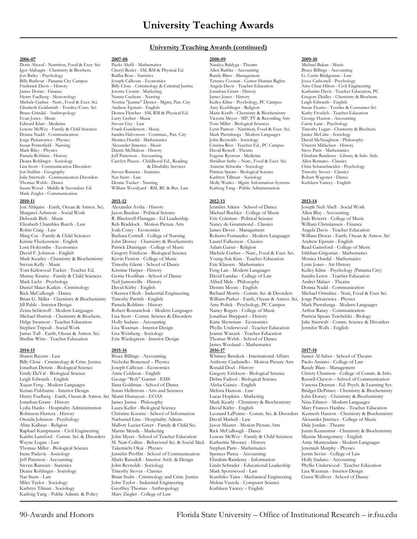### **University Teaching Awards (continued)**

Igor Alabugin - Chemistry & Biochem. Cheryl Beeler - SM, RM & Physical Ed. Allen Bathke - Accounting Bruce Billings - Accounting Bruce Billings - Accounting Bruce Billings - Accounting por Bailey - Psychology Radha Bose - Jon Bailey - Psychology **Franchise Community Community Community** Randy Blass - Management Randy Blass - G. Curtis Bridgeman - Law<br>Rilly Barbour - Panama City Campus Joseph Calhoun - Economics Terence Coonan - Center-Human Billy Barbour - Panama City Campus Joseph Calhoun - Economics Terence Coonan - Center-Human Rights Joyce Carbonell - Psychology Frederick Davis – History Billy Close - Criminology & Criminal Justice Angela Davis - Teacher E<br>19 James Doran - Finance Jerome Cronin - Marketing Jonathan Grant - History Henry Fuelberg - Meteorology Manna Cuchens - Nursing James Jones - History Gregory Dudley - Chemistry & Biochem.<br>2 Michele Garber - Nutr., Food & Exer. Sci. Norma "Jeanne" Dexter - Mgmt, Pan. City Kline - Psychology, PC Ca Michele Garber - Nutr., Food & Exer. Sci. Norma "Jeanne" Dexter - Mgmt, Pan. City Kelley Kline - Psychology, I<br>Elizabeth Goldsmith - Textiles/Cons. Sci. Andrew Epstein - English Amy Koehlinger - Religion Elizabeth Goldsmith - Textiles/Cons. Sci. Andrew Epstein - English Amy Koehlinger - Religion Susan Fiorito - Textiles & Consumer Sci. Andrew Epstein - English Amy Koehlinger - Religion Susan Fiorito - Textiles & Consumer S Bruce Grindal - Anthropology Donna Fletcher - SM, RM & Physical Ed. Marie Krafft - Chemistry & Biochemistry Kathy Froelich - Teacher Edu<br>Evan Jones - Music Marie Kraft - Chemistry & Biochemistry Kathy Froelich - Teacher Ed Evan Jones - Music Music Larry Gerber - Music Victoria Meyer - MP, TV & Recording Arts George Huston - Accounting Arts George Huston - Accounting Arts George Huston - Accounting Steven Gey - Law Tom Miller - Biological Sci Edward Klatt - Medicine Steven Gey - Law Tom Miller - Biological Sciences Carrie Lane - Psychology<br>Child Sciences Frank Gunderson - Music Lynn Panton - Nutrition, Food & Exer. Sci. Timothy Logan - Chemistry & Biochem. Lenore McWey - Family & Child Sciences Frank Gunderson - Music Lynn Panton - Nutrition, Food & Exer. Sci. Timothy Logan - Chemistr<br>Donna Nudd - Communication Sandra Halvorson - Commun., Pan. City Mark Pietralunga - Modern Donna Nudd - Communication Sandra Halvorson - Commun., Pan. City Mark Pietralunga - Modern Jorge Piekarewicz - Physics Monica Hurdal - Mathematics John Reynolds - Sociology Jorge Piekarewicz - Physics Monica Hurdal - Mathematics John Reynolds - Sociology David McNaughton - Philosophy Susan Porterfield - Nursing Alexander Jimenez - Music Cristina Rios - Teacher Ed., PC Campus Vincent Mikkelsen - History Mark Riley - Physics Darrin McMahon - History David Rowell - Theatre Pamela Robbins - History Jeff Patterson - Accounting Eugene Ryerson - Medicine Pamela Robbins - History Jeff Patterson - Accounting Bugene Ryerson - Medicine Brahim Randeree - Library & Info. Stds.<br>26 Deana Rohlinger - Sociology Carolyn Piazza - Childhood Ed., Reading Shridhar Sathe – Nutr., Food & E Lisa Scott - Communication Disorders & Disability Services Annette Schwabe - Sociology Chris Schatschneider - Psychology Julie Stierwalt - Communication Disorders Nat Stern - Law Kathryn Tillman - Sociology Robert Wagoner - Dance Thomas Welsh - Dance Denise Tucker - Nursing Molly Wasko - Mgmt. Information Systems Susan Wood - Middle & Secondary Ed. William Woodyard - RM, RE & Bus. Law Kaifeng Yang - Public Administration Mark Zeigler - Communication

**2010-11 2011-12 2012-13 2013-14** Jon Ahlquist - Earth, Ocean & Atmos. Sci. Alexander Aviña - History Jennifer Atkins - School of Dance Joseph Neil Abell - Social Work Margaret Ashmore - Social Work Jason Barabas - Political Science Michael Buchler - College of Music Allen Blay - Accounting<br>1990- Deborah Bish - Music R. Blackwell-Flanagan - Ed Leadership Eric Coleman - Political Science Deborah Bish - Music R. Blackwell-Flanagan - Ed Leadership Eric Coleman - Political Science Judy Bowers - College of Music Robin Craig - Law Joab Corey - Economics James Dever - Management Angela Davis - Teacher Education<br>2 Ming Cui - Family & Child Sciences Barbara Cottrell - College of Nursing Roberto Fernandez - Modern Languages William Dew Kristie Fleckenstein - English John Dorsey - Chemistry & Biochemistry Laurel Fulkerson - Classics Andrew Epstein - English<br>1997 - Lora Holcombe - Economics Patrick Dunnigan - College of Music Adam Gaiser - Religion Read Ga David F. Johnson - English Gregory Erickson - Biological Science Michele Garber – Nutr., Food & Exer. Sci. Ishkhan Grigorian - Mathematics<br>Mark Kearley - Chemistry & Biochemistry Kevin Fenton - College of Music Young-Suk K Mark Kearley - Chemistry & Biochemistry Kevin Fenton - College of Music Young-Suk Kim - Teacher Education Monica Hurdal - Mathematics Steven Kelly - Music Timothy Glenn - School of Dance Eric Klassen - Mathematics Lynn Jones - Art History Murray Krantz - Family & Child Sciences Gerrie Houlihan - School of Dance David Landau - College of Law Sandra Lewis - Teacher Education Mark Licht - Psychology Meil Jumonville - History Alfred Mele - Philosophy Andrei Malaev - Theatre<br>19 Mark - Dennis Moore - English Donna Nudd - Communication - Dennis Moore - Andrei Malaev - Donna Nudd - Communication Daniel Maier-Katkin - Criminology David Kirby - English Dennis Moore - English Dennis Moore - English Rick McCullough - Dance Okenwa Okoli - Industrial Engineering Richard Morris - Comm. Sci. & Disorders Jill Pable - Interior Design Pamela Robbins - History Amy Polick - Psychology, PC Campus Mark Pietralunga - Modern Languages Zeina Schlenoff - Modern Languages Robert Romanchuk - Modern Languages Nancy Rogers - College of Music Arthur Raney - Communication Michael Shatruk - Chemistry & Biochem. Lisa Scott - Comm. Science & Disorders Jonathan Sheppard – History Pelge Swanson - Teacher Education Holly Sudano - Accounting Katie Showman - Economics Stephen Tripodi - Social Work Lisa Waxman - Interior Design Phyllis Underwood - Teacher Education James Tull - Earth, Ocean & Atmos. Sci. Lisa Weinberg - Sociology Jeanne Wanzek - Teacher Education James Tull - Earth, Ocean & Atmos. Sci.<br>Shelbie Witte - Teacher Education

Shawn Bayern - Law Bruce Billings - Accounting Whitney Bendeck - International Affairs Samer Al-Saber - School of Theatre<br>Billy Close - Criminology & Crim. Justice Nicholas Bonesteel – Physics Anthony Ciarlariello - Motion Billy Close - Criminology & Crim. Justice Nicholas Bonesteel – Physics<br>
Jonathan Dennis - Biological Science Joseph Calhoun - Economics Kaifeng Yang - Public Admin. & Policy

**2006-07 2007-08 2008-09 2009-10** Doris Abood - Nutrition, Food & Exer. Sci. Paolo Aluffi - Mathematics Natalya Baldyga - Theatre Michael Bakan - Music<br>1901 - Alabugin - Chemistry & Biochem. Cheryl Beeler - SM, RM & Physical Ed. Allen Bathke - Accounting B James Doran - Finance (Jerome Cronin - Marketing Jonathan Grant - History Katharine Davis - Teacher Education, PC<br>1991 - Henry Fuelberg - Meteorology (Nanna Cuchens - Nursing James Jones - History (Gregory Dudley - Chemist Susan Wood - Muslim Woodyard - RM, RE & Bus. Law

Reb Braddock - Motion Picture Arts Patrick Dunnigan - College of Music Eric Wiedegreen - Interior Design Thomas Welsh - School of Dance

Jonathan Dennis - Biological Science Joseph Calhoun - Economics Ronald Doel - History Randy Blass - Management Henry Fuelberg - Earth, Ocean & Atmos. Sci Munir Humayun - EOAS Lucas Hopkins - Marketing John Dorsey - Chemistry & Biochemistry Jonathan Grant - History James Justus - Philosophy Mark Kearly - Chemistry & Biochemistry<br>19 - Lydia Hanks - Hospitality Administration Laura Keller - Biological Science David Kirby - English Lydia Hanks - Hospitality Administration Laura Keller - Biological Science David Kirby - English Mary Frances Hanline - Teacher Education Robinson Herrera - History Christine Koontz - School of Information Leonard LaPointe Orenda Johnson - Psychology Nathaniel Line - Hospitality Admin. David Markell - Law Alexander Jiménez - College of Music Aline Kalbian - Religion Mallory Lucier-Greer - Family & Child Sci. Jason Maurer - Motion Pickure Arts Dale Jordan - Civil Engineering Martin Mende - Marketing Rick McCullough - Dance Kaitlin Lansford - Comm. Sci. & Disorders John Myers - School of Teacher Education Lenore McWey - Family & Child Sciences Maxine Montgomery - English M. Nair-Collins - Behavioral Sci. & Social Med. Katherine Mooney - History Antje Muntendam - Modern Takemichi Okui - Physics Stephen Paris - Mathematics Jeremiah Murphy - Physics Thomas Miller - Biological Science Takemichi Okui - Physics Stephen Paris - Mathematics Jeremiah Murphy - Physics<br>Tene Padavic - Sociology Jennifer Proffitt - School of Communication Spencer Pierce - Accounting Justin Sevi Irene Padavic - Sociology Jennifer Proffitt - School of Communication Spencer Pierce - Accounting Justin Sevier - College of La<br>Jeff Paterson - Accounting Marlo Ransdell - Interior Arch. & Design Ebrahim Randeree - Informa Marlo Ransdell - Interior Arch. & Design - Accounting Randeree - Information - Iohn Reynolds - Sociology - Accounting Linda Schrader - Educational Leadership Steven Ramsier - Statistics John Reynolds - Sociology Linda Schrader - Educational Leadership Phyllis Underwood - Teacher Education<br>Deana Rohlinger - Sociology Timothy Stover - Classics Mark Spottswood - Law Lisa Waxman - Deana Rohlinger - Sociology Timothy Stover - Classics Mark Spottswood - Law Lisa Waxman - Interior Design Brian Stults - Criminology and Crim. Justice Miles Taylor - Sociology John Taylor - Industrial Engineering Melina Vastola - Computer Science<br>Kathryn Tilman - Sociology Geoffrey Thomas - Anthropology Kathleen Yancey – English Geoffrey Thomas - Anthropology<br>Mary Ziegler - College of Law

Deana Rohlinger - Sociology Carolyn Piazza - Childhood Ed., Reading Shridhar Sathe – Nutr., Food & Exer. Sci. Allen Romano - Classics Patricia Spears - Biological Science

Timothy Parrish - English William Parker - Earth, Ocean & Atmos. Sci. Pamela Robbins - History Amy Polick - Psychology. PC Campus James Wooland – Mathematics<br>2016-17 **2014-15 2015-16 2016-17 2017-18**

Ming Cui - Family & Child Sciences Barbara Cottrell - College of Nursing Roberto Fernandez - Modern Languages William Dewar - Earth, Ocean & Atmos. Sci<br>Ristie Fleckenstein - English John Dorsey - Chemistry & Biochemistry L Kelley Kline - Psychology (Panama City) Rick McCullough - Dance Okenwa Okoli - Industrial Engineering Richard Morris - Comm. Sci. & Disorders Michael Ormsbee - Nutr, Food & Exer Sci.<br>Brian G. Miller - Chemistry & Biochemistry Timothy Parrish - English William Pa Julie Stierwalt - Comm. Science & Disorders<br>Jennifer Wells - English

Emily DuVal - Biological Science Anne Coldiron - English Gregory Erickson - Biological Science Christy Chatmon - College of Comm. & Info. Leigh Edwards - English George "Bob" Garner - ESIS Debra Fadool - Biological Science Russell Clayton – School of Communication Vanessa Dennen - Ed. Psych. & Learning Sys. Kenan Fishburne - Interior Design Susan Hellstrom - Arts and Sciences Melissa Hanson - Law Bridget DePrince - Chemistry & Biochemistry<br>Henry Fuelberg - Earth, Ocean & Atmos. Sci Munir Humayun - EOAS Lucas Hopkins - Marketi Robinson Herrera - School of Information Leonard LaPointe - Comm. Sci. & Disorders Kenneth Hanson - Chemistry & Biochemistry Nathaniel Line - Hospitality Admin. David Markell - Law Alexander Jiménez - College of Music Raphael Kampmann - Civil Engineering Martin Mende - Marketing Rick McCullough - Dance Justin Kennemur - Chemistry & Biochemistry<br>Kaitlin Lansford - Comm. Sci. & Disorders John Myers - School of Teacher Education Lenore McW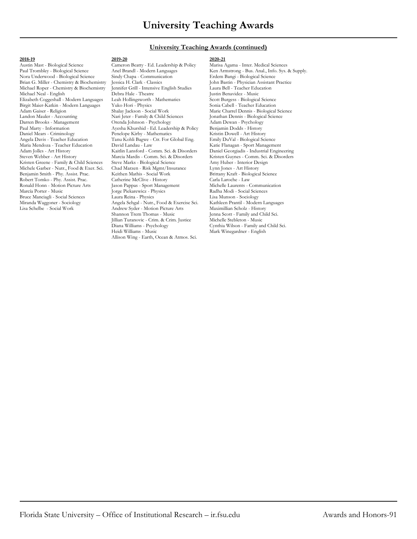### **University Teaching Awards (continued)**

### **2018-19 2019-20 2020-21**

Brian G. Miller - Chemistry & Biochemistry Jessica H. Clark - Classics John Bastin - Physician Assistant Physician Assistant Physician Assistant Physician Assistant Physician Assistant Physician Assistant Physician Assista Michael Roper - Chemistry & Biochemistry Jennifer Grill - Intensi<br>Michael Neal - English Debra Hale - Theatre Elizabeth Coggeshall - Modern Languages Leah Hollingsworth - Mathematics Scott Burgess - Biological Science Birgit Maier-Katkin - Modern Languages Yuko Hori - Physics<br>Adam Gaiser - Religion Shalay Jackson - Social Work Landon Mauler - Accounting Nari Jeter - Family & Child Sciences Jonathan Dennis - Biological Science Darren Brooks - Management Orenda Johnson - Psychology Adam Dewan - Psychology Paul Marty - Information Ayesha Khurshid - Ed. Leadership & Policy Benjamin Dodds - History Angela Davis - Teacher Education Tanu Kohli Bagwe - Ctr. For Global Eng. Emily DuVal - Biological Science Adam Jolles - Art History Kaitlin Lansford - Comm. Sci. & Disorders Steven Webber - Art History Marcia Marcia Marcia - Comm. Sci. & Disorders Kristen Greene - Family & Child Sciences Steve Marks - Biological Science Amy Huber - Interior Design Michele Garber - Nutr., Food & Exer. Sci. Chad Marzen - Risk Mgmt/Insurance Lynn Jones - Art History Benjamin Smith - Phy. Assist. Prac. Keithen Mathis - Social Work Brittany Kraft - Biological Science Robert Tomko - Phy. Assist. Prac. Catherine McClive - History Carla Laroche - Law<br>Ronald Honn - Motion Picture Arts Jason Pappas - Sport Management Michelle Laurents - Communication Ronald Honn - Motion Picture Arts Jason Pappas - Sport Management Michelle Laurents - Commun<br>Marcía Porter - Music Jorge Piekarewicz - Physics Radha Modi - Social Sciences Bruce Manciagli - Social Sciences Laura Reina - Physics Lisa Munson - Sociology Lisa Munson - Sociology Angela Sehgal - Nutr., Food & Exercise Sci. Kathleen Prantil - Modern Languages Miranda Waggoner - Sociology Angela Sehgal - Nutr., Food & Exercise Sci. Kathleen Prantil - Modern Languages

Penelope Kirby - Mathematics

Andrew Syder - Motion Picture Arts<br>Shannon Trem Thomas - Music

Jillian Turanovic - Crim. & Crim. Justice

Allison Wing - Earth, Ocean & Atmos. Sci.

Austin Mast - Biological Science Cameron Beatty - Ed. Leadership & Policy Marisa Agama - Inter. Medical Sciences Ken Armstrong - Bus. Anal., Info. Sys. & Supply. Nora Underwood - Biological Science Sindy Chapa - Communication Erdem Bangi - Biological Science Debra Hale - Theatre German - Muslim Benavidez - Music Leah Hollingsworth - Mathematics Scott Burgess - Biological Science Shalay Jackson - Social Work Marie Charrel Dennis - Biological Science<br> Nari Jeter - Family & Child Sciences Jonathan Dennis - Biological Science Maria Mendoza - Teacher Education David Landau - Law Katie Flanagan - Sport Management Marcia Mardis - Comm. Sci. & Disorders Kristen Guynes - Comm. Sci. & Disorders Steve Marks - Biological Science Amy Huber - Interior Design Jorge Piekarewicz - Physics Radha Modi - Social Sciences<br>Laura Reina - Physics Radha Modi - Sociology Jenna Scott - Family and Child Sci.<br>Michelle Stebleton - Music Diana Williams - Psychology Cynthia Wilson - Family and Child Sci. Mark Winegardner - English